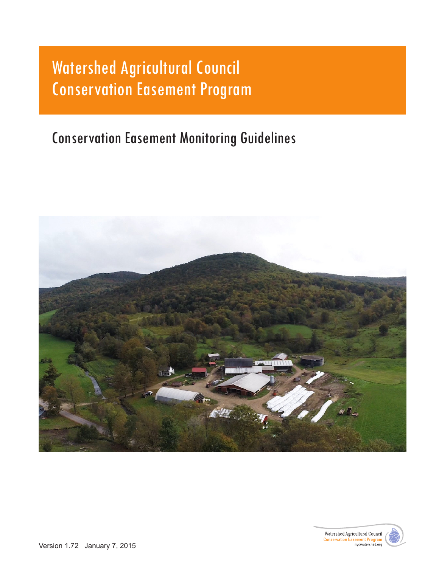# Watershed Agricultural Council Conservation Easement Program

## Conservation Easement Monitoring Guidelines



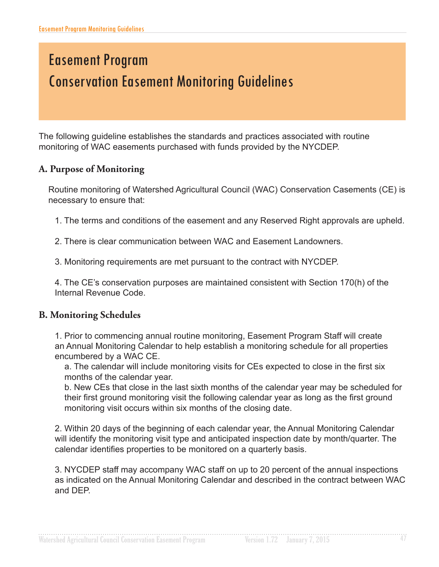## Easement Program Conservation Easement Monitoring Guidelines

The following guideline establishes the standards and practices associated with routine monitoring of WAC easements purchased with funds provided by the NYCDEP.

#### **A. Purpose of Monitoring**

Routine monitoring of Watershed Agricultural Council (WAC) Conservation Casements (CE) is necessary to ensure that:

1. The terms and conditions of the easement and any Reserved Right approvals are upheld.

2. There is clear communication between WAC and Easement Landowners.

3. Monitoring requirements are met pursuant to the contract with NYCDEP.

4. The CE's conservation purposes are maintained consistent with Section 170(h) of the Internal Revenue Code.

#### **B. Monitoring Schedules**

1. Prior to commencing annual routine monitoring, Easement Program Staff will create an Annual Monitoring Calendar to help establish a monitoring schedule for all properties encumbered by a WAC CE.

a. The calendar will include monitoring visits for CEs expected to close in the first six months of the calendar year.

b. New CEs that close in the last sixth months of the calendar year may be scheduled for their first ground monitoring visit the following calendar year as long as the first ground monitoring visit occurs within six months of the closing date.

2. Within 20 days of the beginning of each calendar year, the Annual Monitoring Calendar will identify the monitoring visit type and anticipated inspection date by month/quarter. The calendar identifes properties to be monitored on a quarterly basis.

3. NYCDEP staff may accompany WAC staff on up to 20 percent of the annual inspections as indicated on the Annual Monitoring Calendar and described in the contract between WAC and DEP.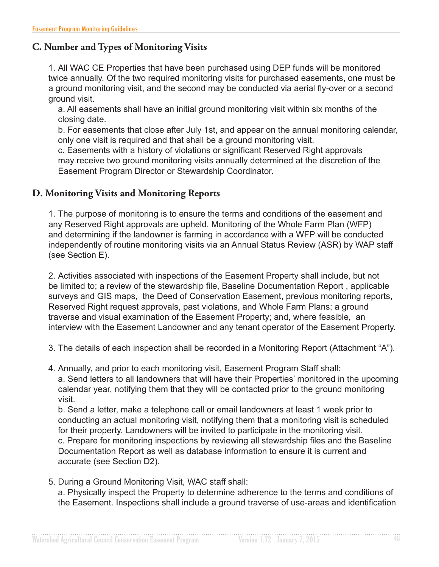#### **C. Number and Types of Monitoring Visits**

1. All WAC CE Properties that have been purchased using DEP funds will be monitored twice annually. Of the two required monitoring visits for purchased easements, one must be a ground monitoring visit, and the second may be conducted via aerial fy-over or a second ground visit.

a. All easements shall have an initial ground monitoring visit within six months of the closing date.

b. For easements that close after July 1st, and appear on the annual monitoring calendar, only one visit is required and that shall be a ground monitoring visit.

c. Easements with a history of violations or signifcant Reserved Right approvals may receive two ground monitoring visits annually determined at the discretion of the Easement Program Director or Stewardship Coordinator.

#### **D. Monitoring Visits and Monitoring Reports**

1. The purpose of monitoring is to ensure the terms and conditions of the easement and any Reserved Right approvals are upheld. Monitoring of the Whole Farm Plan (WFP) and determining if the landowner is farming in accordance with a WFP will be conducted independently of routine monitoring visits via an Annual Status Review (ASR) by WAP staff (see Section E).

2. Activities associated with inspections of the Easement Property shall include, but not be limited to; a review of the stewardship file, Baseline Documentation Report, applicable surveys and GIS maps, the Deed of Conservation Easement, previous monitoring reports, Reserved Right request approvals, past violations, and Whole Farm Plans; a ground traverse and visual examination of the Easement Property; and, where feasible, an interview with the Easement Landowner and any tenant operator of the Easement Property.

- 3. The details of each inspection shall be recorded in a Monitoring Report (Attachment "A").
- 4. Annually, and prior to each monitoring visit, Easement Program Staff shall: a. Send letters to all landowners that will have their Properties' monitored in the upcoming calendar year, notifying them that they will be contacted prior to the ground monitoring visit.

b. Send a letter, make a telephone call or email landowners at least 1 week prior to conducting an actual monitoring visit, notifying them that a monitoring visit is scheduled for their property. Landowners will be invited to participate in the monitoring visit. c. Prepare for monitoring inspections by reviewing all stewardship fles and the Baseline Documentation Report as well as database information to ensure it is current and accurate (see Section D2).

5. During a Ground Monitoring Visit, WAC staff shall: a. Physically inspect the Property to determine adherence to the terms and conditions of the Easement. Inspections shall include a ground traverse of use-areas and identifcation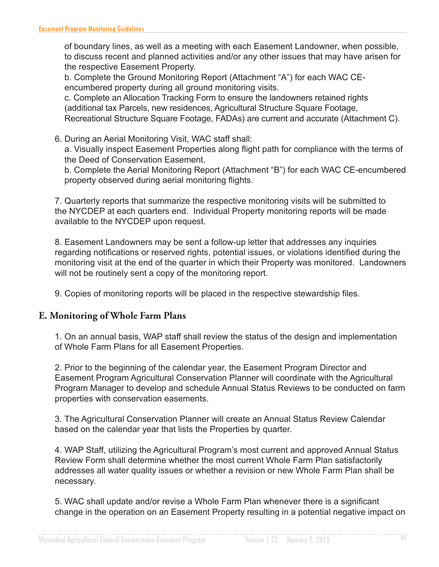of boundary lines, as well as a meeting with each Easement Landowner, when possible, to discuss recent and planned activities and/or any other issues that may have arisen for the respective Easement Property.

b. Complete the Ground Monitoring Report (Attachment "A") for each WAC CEencumbered property during all ground monitoring visits.

c. Complete an Allocation Tracking Form to ensure the landowners retained rights (additional tax Parcels, new residences, Agricultural Structure Square Footage, Recreational Structure Square Footage, FADAs) are current and accurate (Attachment C).

6. During an Aerial Monitoring Visit, WAC staff shall: a. Visually inspect Easement Properties along fight path for compliance with the terms of the Deed of Conservation Easement.

b. Complete the Aerial Monitoring Report (Attachment "B") for each WAC CE-encumbered property observed during aerial monitoring fights.

7. Quarterly reports that summarize the respective monitoring visits will be submitted to the NYCDEP at each quarters end. Individual Property monitoring reports will be made available to the NYCDEP upon request.

8. Easement Landowners may be sent a follow-up letter that addresses any inquiries regarding notifcations or reserved rights, potential issues, or violations identifed during the monitoring visit at the end of the quarter in which their Property was monitored. Landowners will not be routinely sent a copy of the monitoring report.

9. Copies of monitoring reports will be placed in the respective stewardship fles.

#### **E. Monitoring of Whole Farm Plans**

1. On an annual basis, WAP staff shall review the status of the design and implementation of Whole Farm Plans for all Easement Properties.

2. Prior to the beginning of the calendar year, the Easement Program Director and Easement Program Agricultural Conservation Planner will coordinate with the Agricultural Program Manager to develop and schedule Annual Status Reviews to be conducted on farm properties with conservation easements.

3. The Agricultural Conservation Planner will create an Annual Status Review Calendar based on the calendar year that lists the Properties by quarter.

4. WAP Staff, utilizing the Agricultural Program's most current and approved Annual Status Review Form shall determine whether the most current Whole Farm Plan satisfactorily addresses all water quality issues or whether a revision or new Whole Farm Plan shall be necessary.

5. WAC shall update and/or revise a Whole Farm Plan whenever there is a signifcant change in the operation on an Easement Property resulting in a potential negative impact on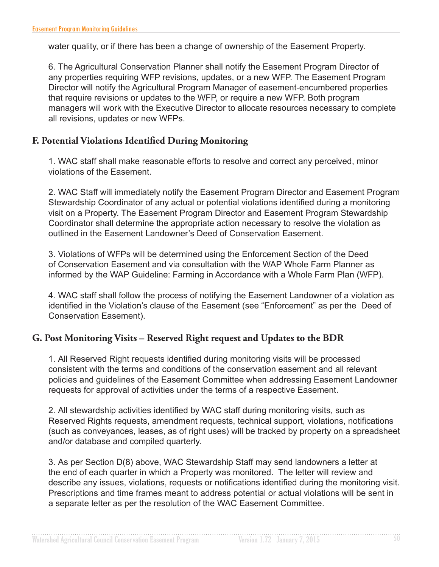water quality, or if there has been a change of ownership of the Easement Property.

6. The Agricultural Conservation Planner shall notify the Easement Program Director of any properties requiring WFP revisions, updates, or a new WFP. The Easement Program Director will notify the Agricultural Program Manager of easement-encumbered properties that require revisions or updates to the WFP, or require a new WFP. Both program managers will work with the Executive Director to allocate resources necessary to complete all revisions, updates or new WFPs.

#### **F. Potential Violations Identified During Monitoring**

1. WAC staff shall make reasonable efforts to resolve and correct any perceived, minor violations of the Easement.

2. WAC Staff will immediately notify the Easement Program Director and Easement Program Stewardship Coordinator of any actual or potential violations identifed during a monitoring visit on a Property. The Easement Program Director and Easement Program Stewardship Coordinator shall determine the appropriate action necessary to resolve the violation as outlined in the Easement Landowner's Deed of Conservation Easement.

3. Violations of WFPs will be determined using the Enforcement Section of the Deed of Conservation Easement and via consultation with the WAP Whole Farm Planner as informed by the WAP Guideline: Farming in Accordance with a Whole Farm Plan (WFP).

4. WAC staff shall follow the process of notifying the Easement Landowner of a violation as identifed in the Violation's clause of the Easement (see "Enforcement" as per the Deed of Conservation Easement).

#### **G. Post Monitoring Visits – Reserved Right request and Updates to the BDR**

1. All Reserved Right requests identifed during monitoring visits will be processed consistent with the terms and conditions of the conservation easement and all relevant policies and guidelines of the Easement Committee when addressing Easement Landowner requests for approval of activities under the terms of a respective Easement.

2. All stewardship activities identifed by WAC staff during monitoring visits, such as Reserved Rights requests, amendment requests, technical support, violations, notifcations (such as conveyances, leases, as of right uses) will be tracked by property on a spreadsheet and/or database and compiled quarterly.

3. As per Section D(8) above, WAC Stewardship Staff may send landowners a letter at the end of each quarter in which a Property was monitored. The letter will review and describe any issues, violations, requests or notifcations identifed during the monitoring visit. Prescriptions and time frames meant to address potential or actual violations will be sent in a separate letter as per the resolution of the WAC Easement Committee.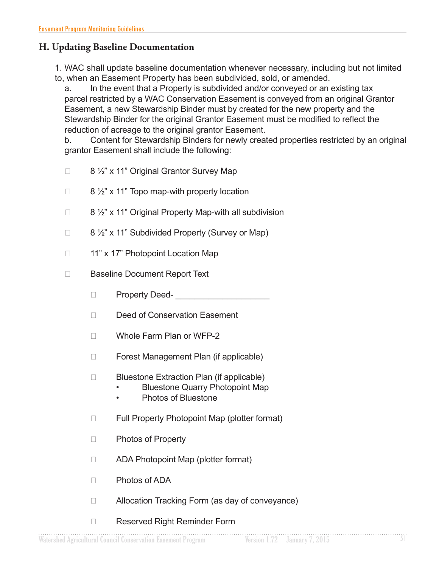#### **H. Updating Baseline Documentation**

1. WAC shall update baseline documentation whenever necessary, including but not limited to, when an Easement Property has been subdivided, sold, or amended.

a. In the event that a Property is subdivided and/or conveyed or an existing tax parcel restricted by a WAC Conservation Easement is conveyed from an original Grantor Easement, a new Stewardship Binder must by created for the new property and the Stewardship Binder for the original Grantor Easement must be modifed to refect the reduction of acreage to the original grantor Easement.

b. Content for Stewardship Binders for newly created properties restricted by an original grantor Easement shall include the following:

- $\Box$  8 1/2" x 11" Original Grantor Survey Map
- $\Box$  8 1/2" x 11" Topo map-with property location
- $\Box$  8  $\frac{1}{2}$  x 11" Original Property Map-with all subdivision
- $\Box$  8 1/2" x 11" Subdivided Property (Survey or Map)
- $\Box$  11" x 17" Photopoint Location Map
- □ Baseline Document Report Text
	- $\Box$  Property Deed-
	- Deed of Conservation Easement
	- □ Whole Farm Plan or WFP-2
	- □ Forest Management Plan (if applicable)
	- $\Box$  Bluestone Extraction Plan (if applicable)
		- Bluestone Quarry Photopoint Map
		- Photos of Bluestone
	- $\Box$  Full Property Photopoint Map (plotter format)
	- □ Photos of Property
	- $\Box$  ADA Photopoint Map (plotter format)
	- □ Photos of ADA
	- $\Box$  Allocation Tracking Form (as day of conveyance)
	- □ Reserved Right Reminder Form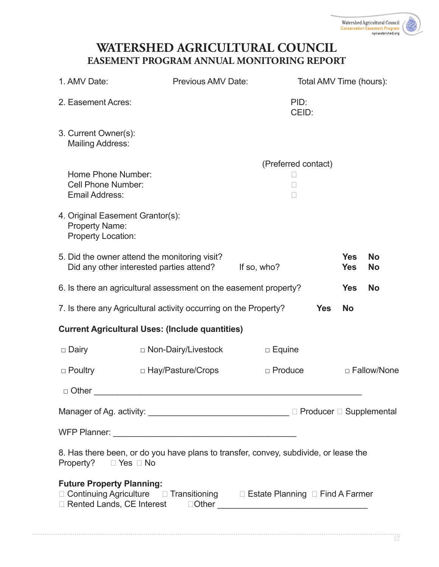## **WATERSHED AGRICULTURAL COUNCIL EASEMENT PROGRAM ANNUAL MONITORING REPORT**

| 1. AMV Date:                                                                    | Previous AMV Date:                                                                        |                                                          | Total AMV Time (hours): |                          |                        |
|---------------------------------------------------------------------------------|-------------------------------------------------------------------------------------------|----------------------------------------------------------|-------------------------|--------------------------|------------------------|
| 2. Easement Acres:                                                              |                                                                                           |                                                          | PID:<br>CEID:           |                          |                        |
| 3. Current Owner(s):<br><b>Mailing Address:</b>                                 |                                                                                           |                                                          |                         |                          |                        |
| Home Phone Number:<br><b>Cell Phone Number:</b><br><b>Email Address:</b>        |                                                                                           | (Preferred contact)<br>$\mathbf{L}$<br>П<br>$\mathbf{L}$ |                         |                          |                        |
| 4. Original Easement Grantor(s):<br><b>Property Name:</b><br>Property Location: |                                                                                           |                                                          |                         |                          |                        |
|                                                                                 | 5. Did the owner attend the monitoring visit?<br>Did any other interested parties attend? | If so, who?                                              |                         | <b>Yes</b><br><b>Yes</b> | <b>No</b><br><b>No</b> |
|                                                                                 | 6. Is there an agricultural assessment on the easement property?                          |                                                          |                         | <b>Yes</b>               | <b>No</b>              |
|                                                                                 | 7. Is there any Agricultural activity occurring on the Property?                          |                                                          | <b>Yes</b>              | <b>No</b>                |                        |
|                                                                                 | <b>Current Agricultural Uses: (Include quantities)</b>                                    |                                                          |                         |                          |                        |
| □ Dairy                                                                         | □ Non-Dairy/Livestock                                                                     | $\Box$ Equine                                            |                         |                          |                        |
| $\Box$ Poultry                                                                  | □ Hay/Pasture/Crops                                                                       | $\Box$ Produce                                           |                         |                          | □ Fallow/None          |
| $\Box$ Other                                                                    |                                                                                           |                                                          |                         |                          |                        |
|                                                                                 |                                                                                           |                                                          |                         |                          |                        |
|                                                                                 |                                                                                           |                                                          |                         |                          |                        |
| Property? $\Box$ Yes $\Box$ No                                                  | 8. Has there been, or do you have plans to transfer, convey, subdivide, or lease the      |                                                          |                         |                          |                        |
| <b>Future Property Planning:</b>                                                | □ Continuing Agriculture □ Transitioning □ Estate Planning □ Find A Farmer                |                                                          |                         |                          |                        |
|                                                                                 |                                                                                           |                                                          |                         |                          |                        |

. . . . . . . . . . . . . . .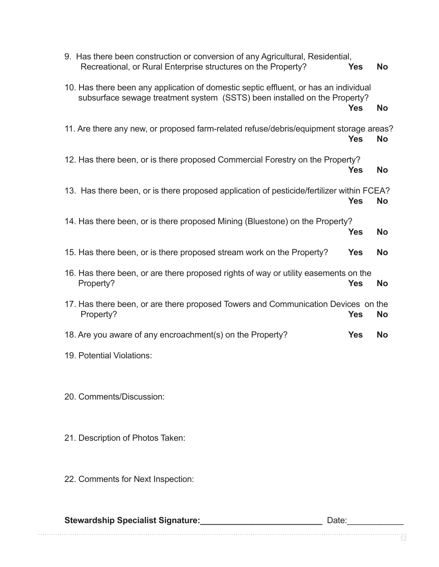|                           | 9. Has there been construction or conversion of any Agricultural, Residential,<br>Recreational, or Rural Enterprise structures on the Property?                   | <b>Yes</b> | <b>No</b> |
|---------------------------|-------------------------------------------------------------------------------------------------------------------------------------------------------------------|------------|-----------|
|                           | 10. Has there been any application of domestic septic effluent, or has an individual<br>subsurface sewage treatment system (SSTS) been installed on the Property? | <b>Yes</b> | <b>No</b> |
|                           | 11. Are there any new, or proposed farm-related refuse/debris/equipment storage areas?                                                                            | <b>Yes</b> | <b>No</b> |
|                           | 12. Has there been, or is there proposed Commercial Forestry on the Property?                                                                                     | <b>Yes</b> | <b>No</b> |
|                           | 13. Has there been, or is there proposed application of pesticide/fertilizer within FCEA?                                                                         | <b>Yes</b> | <b>No</b> |
|                           | 14. Has there been, or is there proposed Mining (Bluestone) on the Property?                                                                                      | <b>Yes</b> | <b>No</b> |
|                           | 15. Has there been, or is there proposed stream work on the Property?                                                                                             | <b>Yes</b> | <b>No</b> |
| Property?                 | 16. Has there been, or are there proposed rights of way or utility easements on the                                                                               | <b>Yes</b> | <b>No</b> |
| Property?                 | 17. Has there been, or are there proposed Towers and Communication Devices on the                                                                                 | <b>Yes</b> | <b>No</b> |
|                           | 18. Are you aware of any encroachment(s) on the Property?                                                                                                         | <b>Yes</b> | <b>No</b> |
| 19. Potential Violations: |                                                                                                                                                                   |            |           |
|                           |                                                                                                                                                                   |            |           |
| 20. Comments/Discussion:  |                                                                                                                                                                   |            |           |

- 21. Description of Photos Taken:
- 22. Comments for Next Inspection:

| <b>Stewardship Specialist Signature:</b> | Date: |
|------------------------------------------|-------|
|                                          |       |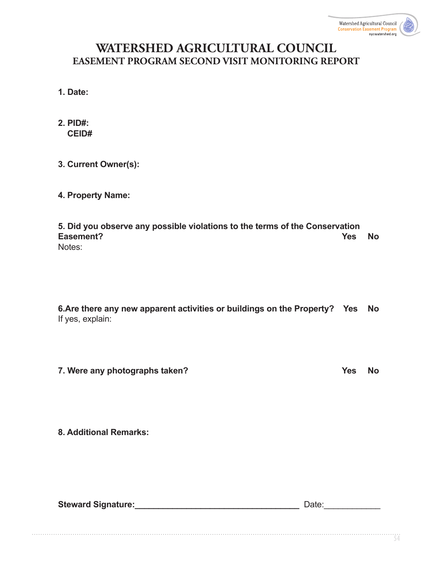## **WATERSHED AGRICULTURAL COUNCIL EASEMENT PROGRAM SECOND VISIT MONITORING REPORT**

**1. Date:**

| 2. PID#: |
|----------|
| CEID#    |

#### **3. Current Owner(s):**

#### **4. Property Name:**

**5. Did you observe any possible violations to the terms of the Conservation Easement? Yes No**  Notes:

**6.Are there any new apparent activities or buildings on the Property? Yes No** If yes, explain:

**7. Were any photographs taken?** The state of the state of the state of the state of the state of the state of the state of the state of the state of the state of the state of the state of the state of the state of the sta

**8. Additional Remarks:**

**Steward Signature: Contract Signature: Contract Signature: Contract Signature: Contract Signature: Contract Signature: Contract Signature: Contract Signature: Contract Signature: Contract Signature: Co**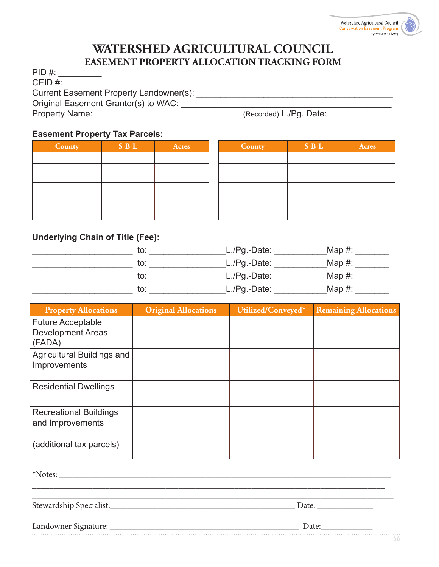

### **WATERSHED AGRICULTURAL COUNCIL EASEMENT PROPERTY ALLOCATION TRACKING FORM**

PID #: CEID #:\_\_\_\_\_\_\_\_ Current Easement Property Landowner(s): \_\_\_\_\_\_\_\_\_\_\_\_\_\_\_\_\_\_\_\_\_\_\_\_\_\_\_\_\_\_\_\_\_\_\_\_\_\_\_\_\_ Original Easement Grantor(s) to WAC: **with an article of the set of the set of the set of the set of the set of the set of the set of the set of the set of the set of the set of the set of the set of the set of the set of** Property Name:\_\_\_\_\_\_\_\_\_\_\_\_\_\_\_\_\_\_\_\_\_\_\_\_\_\_\_\_\_\_\_ (Recorded) L./Pg. Date:\_\_\_\_\_\_\_\_\_\_\_\_\_

#### **Easement Property Tax Parcels:**

| County | $S-B-L$ | Acres | County | $S-B-L$ | <b>Acres</b> |
|--------|---------|-------|--------|---------|--------------|
|        |         |       |        |         |              |
|        |         |       |        |         |              |
|        |         |       |        |         |              |
|        |         |       |        |         |              |
|        |         |       |        |         |              |
|        |         |       |        |         |              |

#### **Underlying Chain of Title (Fee):**

| to. | $L.Pg.-Date:$ | Map $#$ : |
|-----|---------------|-----------|
| to: | $L.Pg.-Date:$ | Map $#$ : |
| to: | $L.Pg.-Date:$ | Map $#$ : |
| to: | $L.Pg.-Date:$ | Map $#$ : |

| <b>Property Allocations</b>                                    | <b>Original Allocations</b> | Utilized/Conveyed* | <b>Remaining Allocations</b> |
|----------------------------------------------------------------|-----------------------------|--------------------|------------------------------|
| <b>Future Acceptable</b><br><b>Development Areas</b><br>(FADA) |                             |                    |                              |
| Agricultural Buildings and<br>Improvements                     |                             |                    |                              |
| <b>Residential Dwellings</b>                                   |                             |                    |                              |
| <b>Recreational Buildings</b><br>and Improvements              |                             |                    |                              |
| (additional tax parcels)                                       |                             |                    |                              |

 $*$ Notes:

Stewardship Specialist:\_\_\_\_\_\_\_\_\_\_\_\_\_\_\_\_\_\_\_\_\_\_\_\_\_\_\_\_\_\_\_\_\_\_\_\_\_\_\_\_\_\_\_ Date: \_\_\_\_\_\_\_\_\_\_\_\_\_

| Landowner Signature |  |
|---------------------|--|
|                     |  |

\_\_\_\_\_\_\_\_\_\_\_\_\_\_\_\_\_\_\_\_\_\_\_\_\_\_\_\_\_\_\_\_\_\_\_\_\_\_\_\_\_\_\_\_\_\_\_\_\_\_\_\_\_\_\_\_\_\_\_\_\_\_\_\_\_\_\_\_\_\_\_\_\_\_\_\_\_\_\_\_\_\_